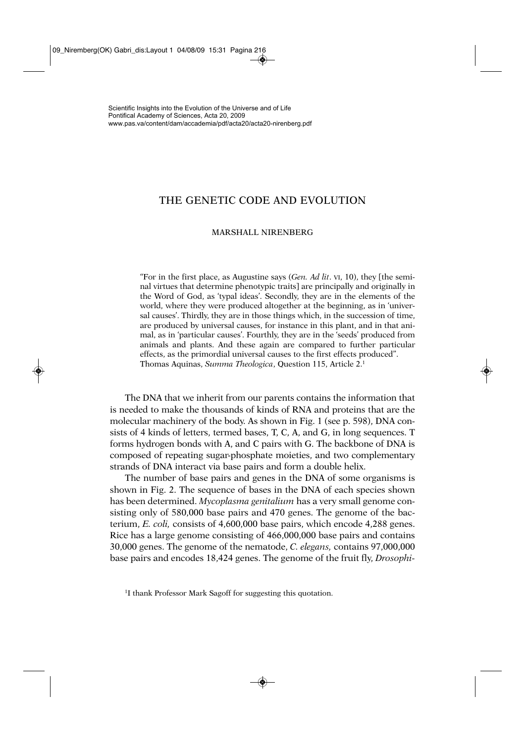# THE GENETIC CODE AND EVOLUTION

#### MARSHALL NIRENBERG

"For in the first place, as Augustine says (*Gen. Ad lit*. VI, 10), they [the seminal virtues that determine phenotypic traits] are principally and originally in the Word of God, as 'typal ideas'. Secondly, they are in the elements of the world, where they were produced altogether at the beginning, as in 'universal causes'. Thirdly, they are in those things which, in the succession of time, are produced by universal causes, for instance in this plant, and in that animal, as in 'particular causes'. Fourthly, they are in the 'seeds' produced from animals and plants. And these again are compared to further particular effects, as the primordial universal causes to the first effects produced". Thomas Aquinas, *Summa Theologica*, Question 115, Article 2.1

The DNA that we inherit from our parents contains the information that is needed to make the thousands of kinds of RNA and proteins that are the molecular machinery of the body. As shown in Fig. 1 (see p. 598), DNA consists of 4 kinds of letters, termed bases, T, C, A, and G, in long sequences. T forms hydrogen bonds with A, and C pairs with G. The backbone of DNA is composed of repeating sugar-phosphate moieties, and two complementary strands of DNA interact via base pairs and form a double helix.

The number of base pairs and genes in the DNA of some organisms is shown in Fig. 2. The sequence of bases in the DNA of each species shown has been determined. *Mycoplasma genitalium* has a very small genome consisting only of 580,000 base pairs and 470 genes. The genome of the bacterium, *E. coli,* consists of 4,600,000 base pairs, which encode 4,288 genes. Rice has a large genome consisting of 466,000,000 base pairs and contains 30,000 genes. The genome of the nematode, *C. elegans,* contains 97,000,000 base pairs and encodes 18,424 genes. The genome of the fruit fly, *Drosophi-*

<sup>&</sup>lt;sup>1</sup>I thank Professor Mark Sagoff for suggesting this quotation.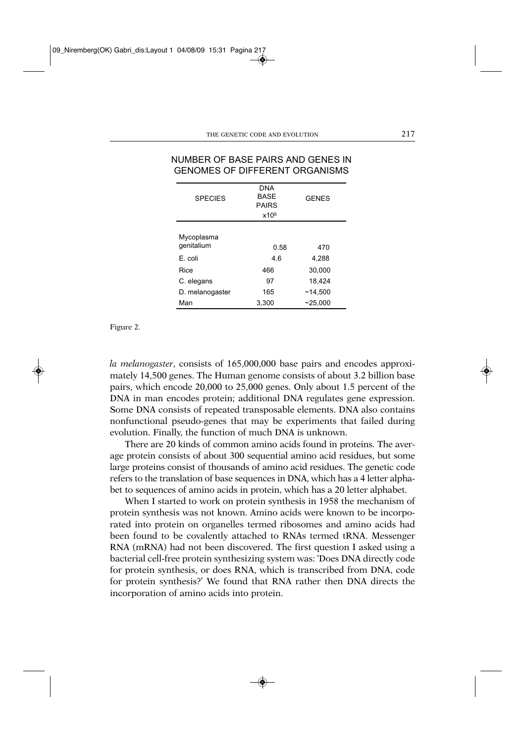| GENOMES OF DIFFERENT ORGANISMS |                                           |              |  |  |  |
|--------------------------------|-------------------------------------------|--------------|--|--|--|
| <b>SPECIES</b>                 | <b>DNA</b><br><b>BASE</b><br><b>PAIRS</b> | <b>GENES</b> |  |  |  |
|                                | x10 <sup>6</sup>                          |              |  |  |  |
| Mycoplasma<br>qenitalium       | 0.58                                      | 470          |  |  |  |
| E. coli                        | 4.6                                       | 4,288        |  |  |  |
| Rice                           | 466                                       | 30.000       |  |  |  |
| C. elegans                     | 97                                        | 18.424       |  |  |  |
| D. melanogaster                | 165                                       | ~14.500      |  |  |  |
| Man                            | 3,300                                     | $-25,000$    |  |  |  |
|                                |                                           |              |  |  |  |

### NUMBER OF BASE PAIRS AND GENES IN GENOMES OF DIFFERENT ORGANISMS

Figure 2.

*la melanogaster*, consists of 165,000,000 base pairs and encodes approximately 14,500 genes. The Human genome consists of about 3.2 billion base pairs, which encode 20,000 to 25,000 genes. Only about 1.5 percent of the DNA in man encodes protein; additional DNA regulates gene expression. Some DNA consists of repeated transposable elements. DNA also contains nonfunctional pseudo-genes that may be experiments that failed during evolution. Finally, the function of much DNA is unknown.

There are 20 kinds of common amino acids found in proteins. The average protein consists of about 300 sequential amino acid residues, but some large proteins consist of thousands of amino acid residues. The genetic code refers to the translation of base sequences in DNA, which has a 4 letter alphabet to sequences of amino acids in protein, which has a 20 letter alphabet.

When I started to work on protein synthesis in 1958 the mechanism of protein synthesis was not known. Amino acids were known to be incorporated into protein on organelles termed ribosomes and amino acids had been found to be covalently attached to RNAs termed tRNA. Messenger RNA (mRNA) had not been discovered. The first question I asked using a bacterial cell-free protein synthesizing system was: 'Does DNA directly code for protein synthesis, or does RNA, which is transcribed from DNA, code for protein synthesis?' We found that RNA rather then DNA directs the incorporation of amino acids into protein.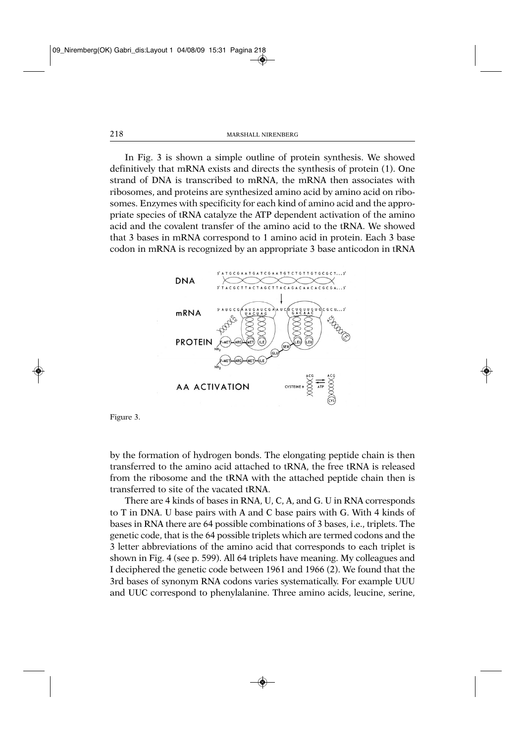In Fig. 3 is shown a simple outline of protein synthesis. We showed definitively that mRNA exists and directs the synthesis of protein (1). One strand of DNA is transcribed to mRNA, the mRNA then associates with ribosomes, and proteins are synthesized amino acid by amino acid on ribosomes. Enzymes with specificity for each kind of amino acid and the appropriate species of tRNA catalyze the ATP dependent activation of the amino acid and the covalent transfer of the amino acid to the tRNA. We showed that 3 bases in mRNA correspond to 1 amino acid in protein. Each 3 base codon in mRNA is recognized by an appropriate 3 base anticodon in tRNA



Figure 3.

by the formation of hydrogen bonds. The elongating peptide chain is then transferred to the amino acid attached to tRNA, the free tRNA is released from the ribosome and the tRNA with the attached peptide chain then is transferred to site of the vacated tRNA.

There are 4 kinds of bases in RNA, U, C, A, and G. U in RNA corresponds to T in DNA. U base pairs with A and C base pairs with G. With 4 kinds of bases in RNA there are 64 possible combinations of 3 bases, i.e., triplets. The genetic code, that is the 64 possible triplets which are termed codons and the 3 letter abbreviations of the amino acid that corresponds to each triplet is shown in Fig. 4 (see p. 599). All 64 triplets have meaning. My colleagues and I deciphered the genetic code between 1961 and 1966 (2). We found that the 3rd bases of synonym RNA codons varies systematically. For example UUU and UUC correspond to phenylalanine. Three amino acids, leucine, serine,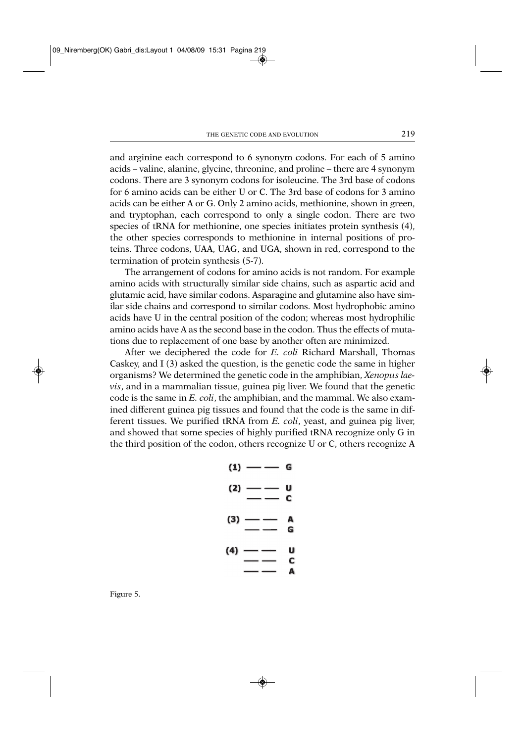and arginine each correspond to 6 synonym codons. For each of 5 amino acids – valine, alanine, glycine, threonine, and proline – there are 4 synonym codons. There are 3 synonym codons for isoleucine. The 3rd base of codons for 6 amino acids can be either U or C. The 3rd base of codons for 3 amino acids can be either A or G. Only 2 amino acids, methionine, shown in green, and tryptophan, each correspond to only a single codon. There are two species of tRNA for methionine, one species initiates protein synthesis (4), the other species corresponds to methionine in internal positions of proteins. Three codons, UAA, UAG, and UGA, shown in red, correspond to the termination of protein synthesis (5-7).

The arrangement of codons for amino acids is not random. For example amino acids with structurally similar side chains, such as aspartic acid and glutamic acid, have similar codons. Asparagine and glutamine also have similar side chains and correspond to similar codons. Most hydrophobic amino acids have U in the central position of the codon; whereas most hydrophilic amino acids have A as the second base in the codon. Thus the effects of mutations due to replacement of one base by another often are minimized.

After we deciphered the code for *E. coli* Richard Marshall, Thomas Caskey, and I (3) asked the question, is the genetic code the same in higher organisms? We determined the genetic code in the amphibian, *Xenopus laevis*, and in a mammalian tissue, guinea pig liver. We found that the genetic code is the same in *E. coli*, the amphibian, and the mammal. We also examined different guinea pig tissues and found that the code is the same in different tissues. We purified tRNA from *E. coli*, yeast, and guinea pig liver, and showed that some species of highly purified tRNA recognize only G in the third position of the codon, others recognize U or C, others recognize A

**(1) —— —— G (2) —— —— U —— —— C (3) —— —— A —— —— G (4) —— —— U —— —— C —— —— A** 

Figure 5.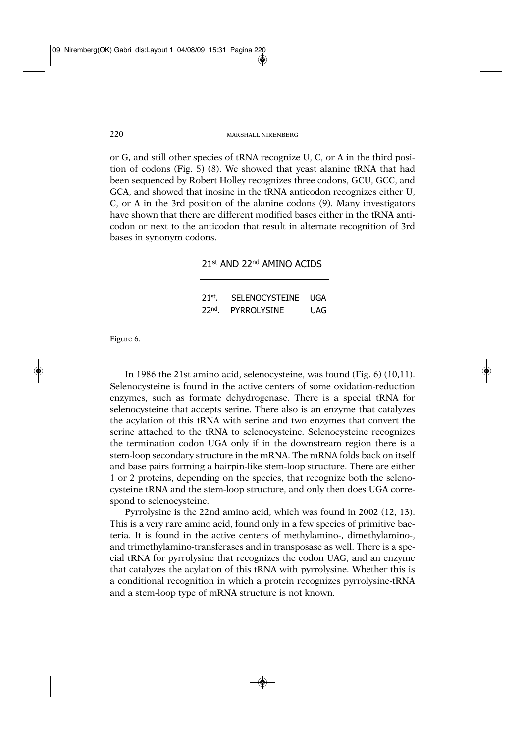or G, and still other species of tRNA recognize U, C, or A in the third position of codons (Fig. 5) (8). We showed that yeast alanine tRNA that had been sequenced by Robert Holley recognizes three codons, GCU, GCC, and GCA, and showed that inosine in the tRNA anticodon recognizes either U, C, or A in the 3rd position of the alanine codons (9). Many investigators have shown that there are different modified bases either in the tRNA anticodon or next to the anticodon that result in alternate recognition of 3rd bases in synonym codons.

### 21st AND 22nd AMINO ACIDS

| $21st$ .         | SELENOCYSTEINE     | UGA |
|------------------|--------------------|-----|
| 22 <sup>nd</sup> | <b>PYRROLYSINE</b> | UAG |

Figure 6.

In 1986 the 21st amino acid, selenocysteine, was found (Fig. 6) (10,11). Selenocysteine is found in the active centers of some oxidation-reduction enzymes, such as formate dehydrogenase. There is a special tRNA for selenocysteine that accepts serine. There also is an enzyme that catalyzes the acylation of this tRNA with serine and two enzymes that convert the serine attached to the tRNA to selenocysteine. Selenocysteine recognizes the termination codon UGA only if in the downstream region there is a stem-loop secondary structure in the mRNA. The mRNA folds back on itself and base pairs forming a hairpin-like stem-loop structure. There are either 1 or 2 proteins, depending on the species, that recognize both the selenocysteine tRNA and the stem-loop structure, and only then does UGA correspond to selenocysteine.

Pyrrolysine is the 22nd amino acid, which was found in 2002 (12, 13). This is a very rare amino acid, found only in a few species of primitive bacteria. It is found in the active centers of methylamino-, dimethylamino-, and trimethylamino-transferases and in transposase as well. There is a special tRNA for pyrrolysine that recognizes the codon UAG, and an enzyme that catalyzes the acylation of this tRNA with pyrrolysine. Whether this is a conditional recognition in which a protein recognizes pyrrolysine-tRNA and a stem-loop type of mRNA structure is not known.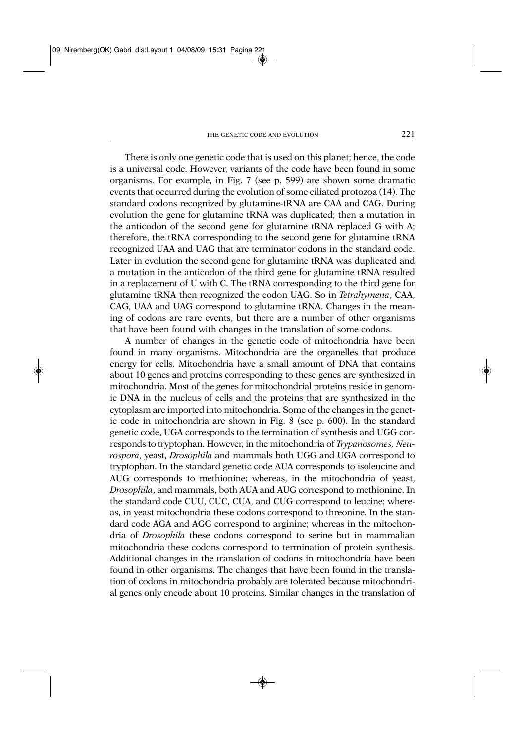There is only one genetic code that is used on this planet; hence, the code is a universal code. However, variants of the code have been found in some organisms. For example, in Fig. 7 (see p. 599) are shown some dramatic events that occurred during the evolution of some ciliated protozoa (14). The standard codons recognized by glutamine-tRNA are CAA and CAG. During evolution the gene for glutamine tRNA was duplicated; then a mutation in the anticodon of the second gene for glutamine tRNA replaced G with A; therefore, the tRNA corresponding to the second gene for glutamine tRNA recognized UAA and UAG that are terminator codons in the standard code. Later in evolution the second gene for glutamine tRNA was duplicated and a mutation in the anticodon of the third gene for glutamine tRNA resulted in a replacement of U with C. The tRNA corresponding to the third gene for glutamine tRNA then recognized the codon UAG. So in *Tetrahymena*, CAA, CAG, UAA and UAG correspond to glutamine tRNA. Changes in the meaning of codons are rare events, but there are a number of other organisms that have been found with changes in the translation of some codons.

A number of changes in the genetic code of mitochondria have been found in many organisms. Mitochondria are the organelles that produce energy for cells. Mitochondria have a small amount of DNA that contains about 10 genes and proteins corresponding to these genes are synthesized in mitochondria. Most of the genes for mitochondrial proteins reside in genomic DNA in the nucleus of cells and the proteins that are synthesized in the cytoplasm are imported into mitochondria. Some of the changes in the genetic code in mitochondria are shown in Fig. 8 (see p. 600). In the standard genetic code, UGA corresponds to the termination of synthesis and UGG corresponds to tryptophan. However, in the mitochondria of *Trypanosomes, Neurospora*, yeast, *Drosophila* and mammals both UGG and UGA correspond to tryptophan. In the standard genetic code AUA corresponds to isoleucine and AUG corresponds to methionine; whereas, in the mitochondria of yeast, *Drosophila*, and mammals, both AUA and AUG correspond to methionine. In the standard code CUU, CUC, CUA, and CUG correspond to leucine; whereas, in yeast mitochondria these codons correspond to threonine. In the standard code AGA and AGG correspond to arginine; whereas in the mitochondria of *Drosophila* these codons correspond to serine but in mammalian mitochondria these codons correspond to termination of protein synthesis. Additional changes in the translation of codons in mitochondria have been found in other organisms. The changes that have been found in the translation of codons in mitochondria probably are tolerated because mitochondrial genes only encode about 10 proteins. Similar changes in the translation of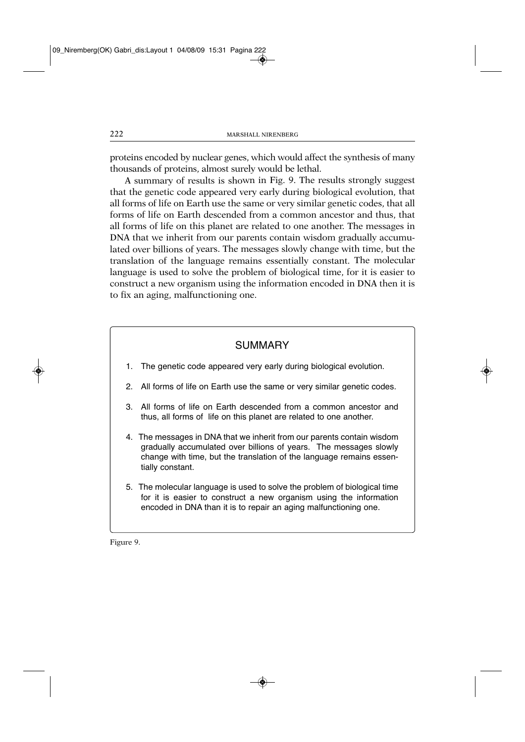proteins encoded by nuclear genes, which would affect the synthesis of many thousands of proteins, almost surely would be lethal.

A summary of results is shown in Fig. 9. The results strongly suggest that the genetic code appeared very early during biological evolution, that all forms of life on Earth use the same or very similar genetic codes, that all forms of life on Earth descended from a common ancestor and thus, that all forms of life on this planet are related to one another. The messages in DNA that we inherit from our parents contain wisdom gradually accumulated over billions of years. The messages slowly change with time, but the translation of the language remains essentially constant. The molecular language is used to solve the problem of biological time, for it is easier to construct a new organism using the information encoded in DNA then it is to fix an aging, malfunctioning one.

## **SUMMARY**

- 1. The genetic code appeared very early during biological evolution.
- 2. All forms of life on Earth use the same or very similar genetic codes.
- 3. All forms of life on Earth descended from a common ancestor and thus, all forms of life on this planet are related to one another. thus, all forms of life on this planet are related to one another.
- 4. The messages in DNA that we inherit from our parents contain wisdom qradually accumulated over billions of years. The messages slowly change with time, but the translation of the language remains essenchange with time, but the translation of the language remains essentially constant.
- 5. The molecular language is used to solve the problem of biological time for it is easier to construct a new organism using the information for it is easier to construct a new organism using the information encoded in DNA than it is to repair an aging malfunctioning one.

Figure 9.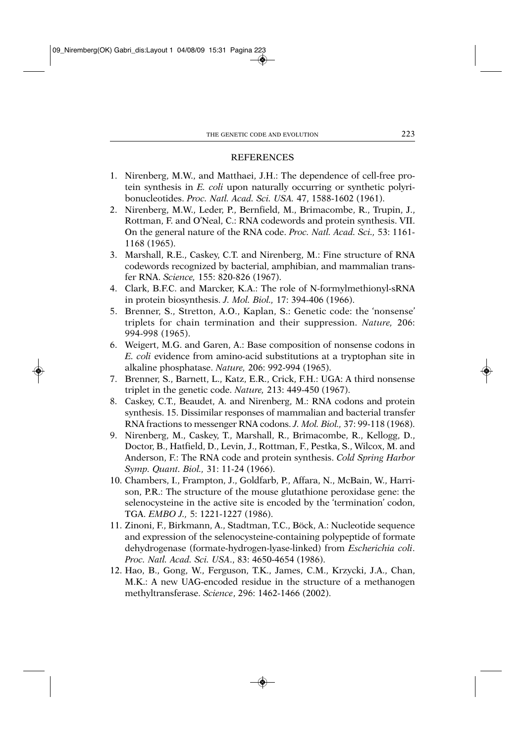#### REFERENCES

- 1. Nirenberg, M.W., and Matthaei, J.H.: The dependence of cell-free protein synthesis in *E. coli* upon naturally occurring or synthetic polyribonucleotides. *Proc. Natl. Acad. Sci. USA.* 47, 1588-1602 (1961).
- 2. Nirenberg, M.W., Leder, P., Bernfield, M., Brimacombe, R., Trupin, J., Rottman, F. and O'Neal, C.: RNA codewords and protein synthesis. VII. On the general nature of the RNA code. *Proc. Natl. Acad. Sci.,* 53: 1161- 1168 (1965).
- 3. Marshall, R.E., Caskey, C.T. and Nirenberg, M.: Fine structure of RNA codewords recognized by bacterial, amphibian, and mammalian transfer RNA. *Science,* 155: 820-826 (1967).
- 4. Clark, B.F.C. and Marcker, K.A.: The role of N-formylmethionyl-sRNA in protein biosynthesis. *J. Mol. Biol.,* 17: 394-406 (1966).
- 5. Brenner, S., Stretton, A.O., Kaplan, S.: Genetic code: the 'nonsense' triplets for chain termination and their suppression. *Nature,* 206: 994-998 (1965).
- 6. Weigert, M.G. and Garen, A.: Base composition of nonsense codons in *E. coli* evidence from amino-acid substitutions at a tryptophan site in alkaline phosphatase. *Nature,* 206: 992-994 (1965).
- 7. Brenner, S., Barnett, L., Katz, E.R., Crick, F.H.: UGA: A third nonsense triplet in the genetic code. *Nature,* 213: 449-450 (1967).
- 8. Caskey, C.T., Beaudet, A. and Nirenberg, M.: RNA codons and protein synthesis. 15. Dissimilar responses of mammalian and bacterial transfer RNA fractions to messenger RNA codons. *J. Mol. Biol.,* 37: 99-118 (1968).
- 9. Nirenberg, M., Caskey, T., Marshall, R., Brimacombe, R., Kellogg, D., Doctor, B., Hatfield, D., Levin, J., Rottman, F., Pestka, S., Wilcox, M. and Anderson, F.: The RNA code and protein synthesis. *Cold Spring Harbor Symp. Quant. Biol.,* 31: 11-24 (1966).
- 10. Chambers, I., Frampton, J., Goldfarb, P., Affara, N., McBain, W., Harrison, P.R.: The structure of the mouse glutathione peroxidase gene: the selenocysteine in the active site is encoded by the 'termination' codon, TGA. *EMBO J.,* 5: 1221-1227 (1986).
- 11. Zinoni, F., Birkmann, A., Stadtman, T.C., Böck, A.: Nucleotide sequence and expression of the selenocysteine-containing polypeptide of formate dehydrogenase (formate-hydrogen-lyase-linked) from *Escherichia coli*. *Proc. Natl. Acad. Sci. USA*., 83: 4650-4654 (1986).
- 12. Hao, B., Gong, W., Ferguson, T.K., James, C.M., Krzycki, J.A., Chan, M.K.: A new UAG-encoded residue in the structure of a methanogen methyltransferase. *Science*, 296: 1462-1466 (2002).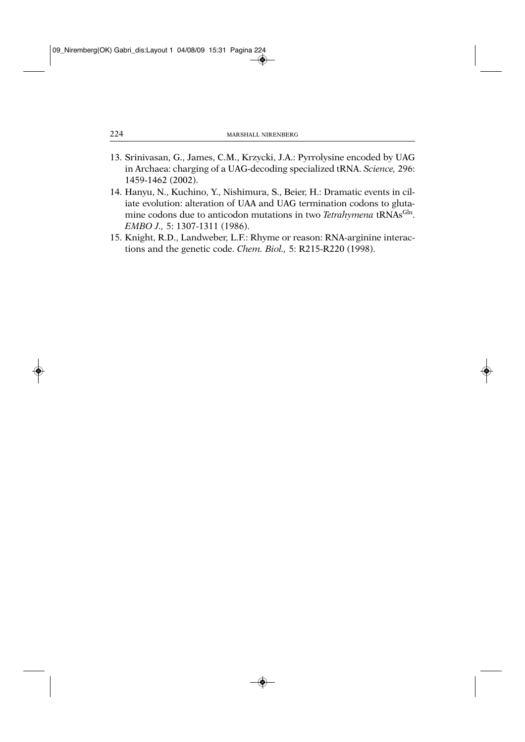- 13. Srinivasan, G., James, C.M., Krzycki, J.A.: Pyrrolysine encoded by UAG in Archaea: charging of a UAG-decoding specialized tRNA. *Science,* 296: 1459-1462 (2002).
- 14. Hanyu, N., Kuchino, Y., Nishimura, S., Beier, H.: Dramatic events in ciliate evolution: alteration of UAA and UAG termination codons to glutamine codons due to anticodon mutations in two *Tetrahymena* tRNAs<sup>Gln</sup>. *EMBO J.,* 5: 1307-1311 (1986).
- 15. Knight, R.D., Landweber, L.F.: Rhyme or reason: RNA-arginine interactions and the genetic code. *Chem. Biol.,* 5: R215-R220 (1998).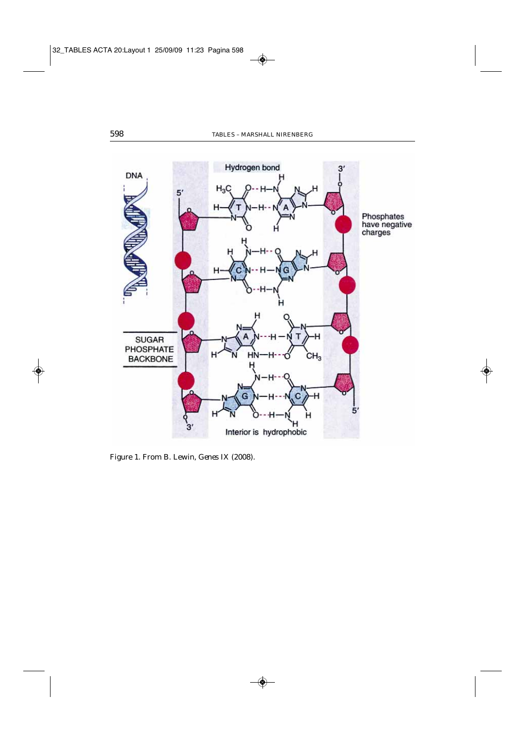

Figure 1. From B. Lewin, *Genes* IX (2008).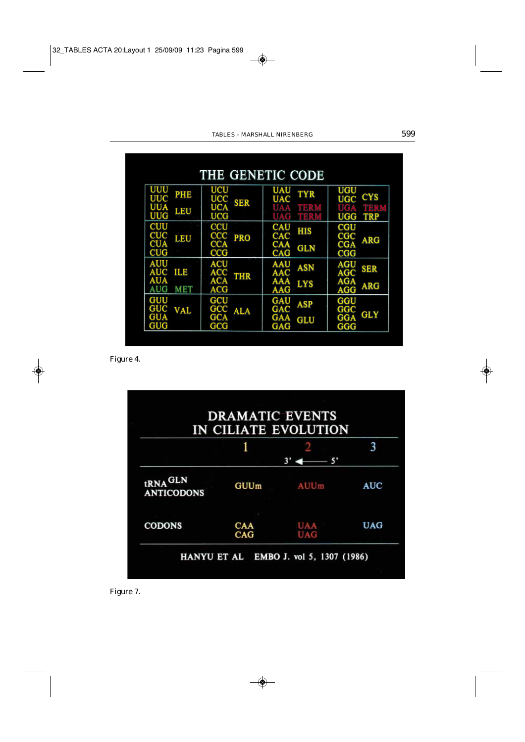| THE GENETIC CODE                                                   |                                                                          |                                                                        |                                                                     |  |  |  |
|--------------------------------------------------------------------|--------------------------------------------------------------------------|------------------------------------------------------------------------|---------------------------------------------------------------------|--|--|--|
| UUU<br>PHE<br><b>UUC</b><br><b>UUA</b><br>LEU<br><b>UUG</b>        | UCU<br><b>UCC</b><br>SER<br><b>UCA</b><br><b>UCG</b>                     | UAU<br><b>TYR</b><br><b>UAC</b><br>UAA<br><b>MERIO</b><br><b>NETRA</b> | UGU<br><b>CYS</b><br><b>UGC</b><br>mara<br><b>UGG</b><br><b>TRP</b> |  |  |  |
| <b>CUU</b><br><b>CUC</b><br>CUA<br>LEU<br><b>CUG</b>               | $_{\rm CCU}$<br>$_{\rm ccc}$<br><b>PRO</b><br><b>CCA</b><br>$_{\rm cCG}$ | CAU<br>HIS<br>CAC<br>CAA<br><b>GLN</b><br><b>CAG</b>                   | $_{\rm CGU}$<br>$_{\rm CGC}$<br><b>ARG</b><br><b>CGA</b><br>CGG     |  |  |  |
| <b>AUU</b><br><b>AUC</b><br>ILE<br><b>AUA</b><br>AUG<br><b>MET</b> | <b>ACU</b><br>ACC<br><b>THR</b><br><b>ACA</b><br>ACG                     | <b>AAU</b><br>ASN<br>AAC<br><b>AAA</b><br><b>LYS</b><br><b>AAG</b>     | <b>AGU</b><br>SER<br>AGC<br><b>AGA</b><br><b>ARG</b><br>AGG         |  |  |  |
| GUU<br>GUC<br><b>VAL</b><br><b>GUA</b><br>GUG                      | GCU<br>GCC<br>ALA<br>GCA<br>$_{\rm GCG}$                                 | GAU<br>ASP<br>GAC<br>GAA<br>GLU<br>GAG                                 | GGU<br>$_{\rm GGC}$<br><b>GLY</b><br><b>GGA</b><br>GGG              |  |  |  |

Figure 4.



Figure 7.